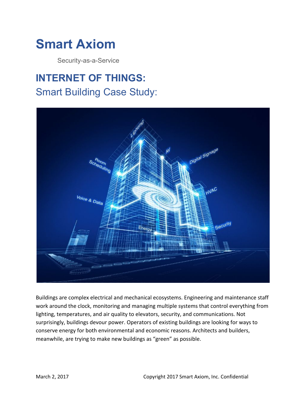

Security-as-a-Service

## **INTERNET OF THINGS:** Smart Building Case Study:



Buildings are complex electrical and mechanical ecosystems. Engineering and maintenance staff work around the clock, monitoring and managing multiple systems that control everything from lighting, temperatures, and air quality to elevators, security, and communications. Not surprisingly, buildings devour power. Operators of existing buildings are looking for ways to conserve energy for both environmental and economic reasons. Architects and builders, meanwhile, are trying to make new buildings as "green" as possible.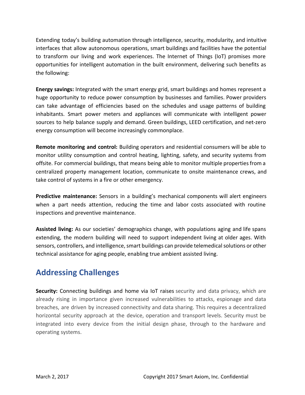Extending today's building automation through intelligence, security, modularity, and intuitive interfaces that allow autonomous operations, smart buildings and facilities have the potential to transform our living and work experiences. The Internet of Things (IoT) promises more opportunities for intelligent automation in the built environment, delivering such benefits as the following:

**Energy savings:** Integrated with the smart energy grid, smart buildings and homes represent a huge opportunity to reduce power consumption by businesses and families. Power providers can take advantage of efficiencies based on the schedules and usage patterns of building inhabitants. Smart power meters and appliances will communicate with intelligent power sources to help balance supply and demand. Green buildings, LEED certification, and net-zero energy consumption will become increasingly commonplace.

**Remote monitoring and control:** Building operators and residential consumers will be able to monitor utility consumption and control heating, lighting, safety, and security systems from offsite. For commercial buildings, that means being able to monitor multiple propertiesfrom a centralized property management location, communicate to onsite maintenance crews, and take control of systems in a fire or other emergency.

**Predictive maintenance:** Sensors in a building's mechanical components will alert engineers when a part needs attention, reducing the time and labor costs associated with routine inspections and preventive maintenance.

**Assisted living:** As our societies' demographics change, with populations aging and life spans extending, the modern building will need to support independent living at older ages. With sensors, controllers, and intelligence, smart buildings can provide telemedical solutions or other technical assistance for aging people, enabling true ambient assisted living.

## **Addressing Challenges**

**Security:** Connecting buildings and home via IoT raises security and data privacy, which are already rising in importance given increased vulnerabilities to attacks, espionage and data breaches, are driven by increased connectivity and data sharing. This requires a decentralized horizontal security approach at the device, operation and transport levels. Security must be integrated into every device from the initial design phase, through to the hardware and operating systems.